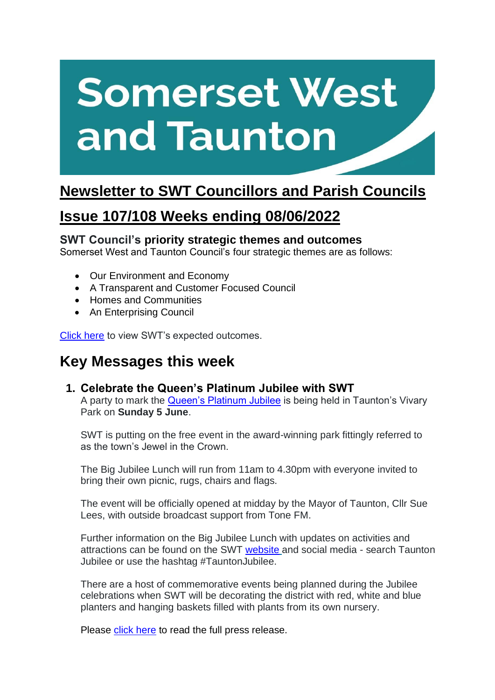# **Somerset West** and Taunton

## **Newsletter to SWT Councillors and Parish Councils**

## **Issue 107/108 Weeks ending 08/06/2022**

## **SWT Council's priority strategic themes and outcomes**

Somerset West and Taunton Council's four strategic themes are as follows:

- Our Environment and Economy
- A Transparent and Customer Focused Council
- Homes and Communities
- An Enterprising Council

[Click here](https://www.somersetwestandtaunton.gov.uk/your-council/corporate-strategy/) to view SWT's expected outcomes.

## **Key Messages this week**

#### **1. Celebrate the Queen's Platinum Jubilee with SWT**

A party to mark the [Queen's Platinum Jubilee](https://platinumjubilee.gov.uk/) is being held in Taunton's Vivary Park on **Sunday 5 June**.

SWT is putting on the free event in the award-winning park fittingly referred to as the town's Jewel in the Crown.

The Big Jubilee Lunch will run from 11am to 4.30pm with everyone invited to bring their own picnic, rugs, chairs and flags.

The event will be officially opened at midday by the Mayor of Taunton, Cllr Sue Lees, with outside broadcast support from Tone FM.

Further information on the Big Jubilee Lunch with updates on activities and attractions can be found on the SWT [website](https://www.somersetwestandtaunton.gov.uk/queens-jubilee-celebrations/) and social media - search Taunton Jubilee or use the hashtag #TauntonJubilee.

There are a host of commemorative events being planned during the Jubilee celebrations when SWT will be decorating the district with red, white and blue planters and hanging baskets filled with plants from its own nursery.

Please [click here](https://www.somersetwestandtaunton.gov.uk/news/celebrate-the-queen-s-platinum-jubilee-with-swt/) to read the full press release.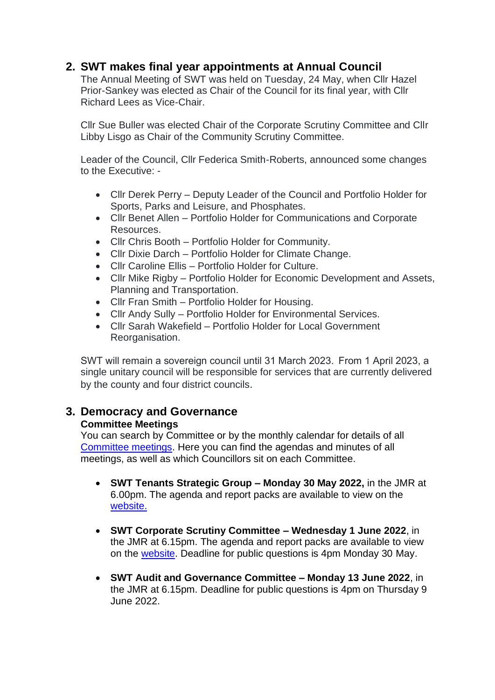## **2. SWT makes final year appointments at Annual Council**

The Annual Meeting of SWT was held on Tuesday, 24 May, when Cllr Hazel Prior-Sankey was elected as Chair of the Council for its final year, with Cllr Richard Lees as Vice-Chair.

Cllr Sue Buller was elected Chair of the Corporate Scrutiny Committee and Cllr Libby Lisgo as Chair of the Community Scrutiny Committee.

Leader of the Council, Cllr Federica Smith-Roberts, announced some changes to the Executive: -

- Cllr Derek Perry Deputy Leader of the Council and Portfolio Holder for Sports, Parks and Leisure, and Phosphates.
- Cllr Benet Allen Portfolio Holder for Communications and Corporate Resources.
- Cllr Chris Booth Portfolio Holder for Community.
- Cllr Dixie Darch Portfolio Holder for Climate Change.
- Cllr Caroline Ellis Portfolio Holder for Culture.
- Cllr Mike Rigby Portfolio Holder for Economic Development and Assets, Planning and Transportation.
- Cllr Fran Smith Portfolio Holder for Housing.
- Cllr Andy Sully Portfolio Holder for Environmental Services.
- Cllr Sarah Wakefield Portfolio Holder for Local Government Reorganisation.

SWT will remain a sovereign council until 31 March 2023.  From 1 April 2023, a single unitary council will be responsible for services that are currently delivered by the county and four district councils.

## **3. Democracy and Governance**

#### **Committee Meetings**

You can search by Committee or by the monthly calendar for details of all [Committee meetings.](https://www.somersetwestandtaunton.gov.uk/your-council/council-meetings/) Here you can find the agendas and minutes of all meetings, as well as which Councillors sit on each Committee.

- **SWT Tenants Strategic Group – Monday 30 May 2022,** in the JMR at 6.00pm. The agenda and report packs are available to view on the [website.](https://democracy.somersetwestandtaunton.gov.uk/ieListDocuments.aspx?CId=435&MId=3023)
- **SWT Corporate Scrutiny Committee – Wednesday 1 June 2022**, in the JMR at 6.15pm. The agenda and report packs are available to view on the [website.](https://democracy.somersetwestandtaunton.gov.uk/ieListDocuments.aspx?MId=3065&x=1) Deadline for public questions is 4pm Monday 30 May.
- **SWT Audit and Governance Committee – Monday 13 June 2022**, in the JMR at 6.15pm. Deadline for public questions is 4pm on Thursday 9 June 2022.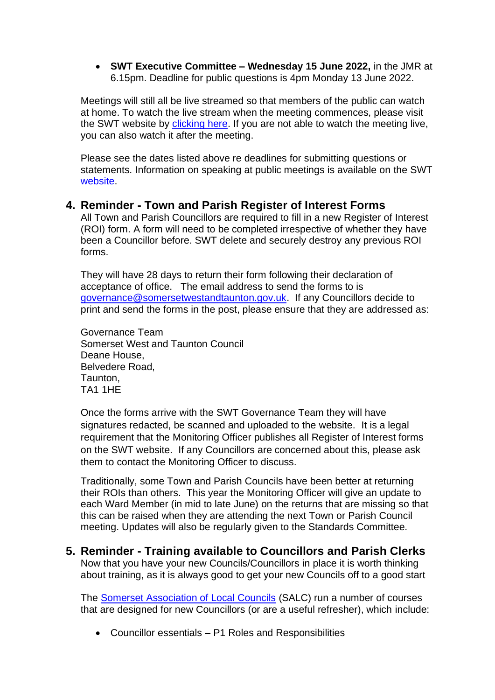• **SWT Executive Committee – Wednesday 15 June 2022,** in the JMR at 6.15pm. Deadline for public questions is 4pm Monday 13 June 2022.

Meetings will still all be live streamed so that members of the public can watch at home. To watch the live stream when the meeting commences, please visit the SWT website by [clicking here.](https://democracy.somersetwestandtaunton.gov.uk/mgCalendarMonthView.aspx) If you are not able to watch the meeting live, you can also watch it after the meeting.

Please see the dates listed above re deadlines for submitting questions or statements. Information on speaking at public meetings is available on the SWT [website.](https://www.somersetwestandtaunton.gov.uk/your-council/speaking-at-a-council-meeting/)

#### **4. Reminder - Town and Parish Register of Interest Forms**

All Town and Parish Councillors are required to fill in a new Register of Interest (ROI) form. A form will need to be completed irrespective of whether they have been a Councillor before. SWT delete and securely destroy any previous ROI forms.

They will have 28 days to return their form following their declaration of acceptance of office. The email address to send the forms to is [governance@somersetwestandtaunton.gov.uk.](mailto:governance@somersetwestandtaunton.gov.uk) If any Councillors decide to print and send the forms in the post, please ensure that they are addressed as:

Governance Team Somerset West and Taunton Council Deane House, Belvedere Road, Taunton, TA1 1HE

Once the forms arrive with the SWT Governance Team they will have signatures redacted, be scanned and uploaded to the website. It is a legal requirement that the Monitoring Officer publishes all Register of Interest forms on the SWT website. If any Councillors are concerned about this, please ask them to contact the Monitoring Officer to discuss.

Traditionally, some Town and Parish Councils have been better at returning their ROIs than others. This year the Monitoring Officer will give an update to each Ward Member (in mid to late June) on the returns that are missing so that this can be raised when they are attending the next Town or Parish Council meeting. Updates will also be regularly given to the Standards Committee.

**5. Reminder - Training available to Councillors and Parish Clerks** Now that you have your new Councils/Councillors in place it is worth thinking about training, as it is always good to get your new Councils off to a good start

The [Somerset Association of Local Councils](https://www.somerset-alc.org.uk/) (SALC) run a number of courses that are designed for new Councillors (or are a useful refresher), which include:

• Councillor essentials – P1 Roles and Responsibilities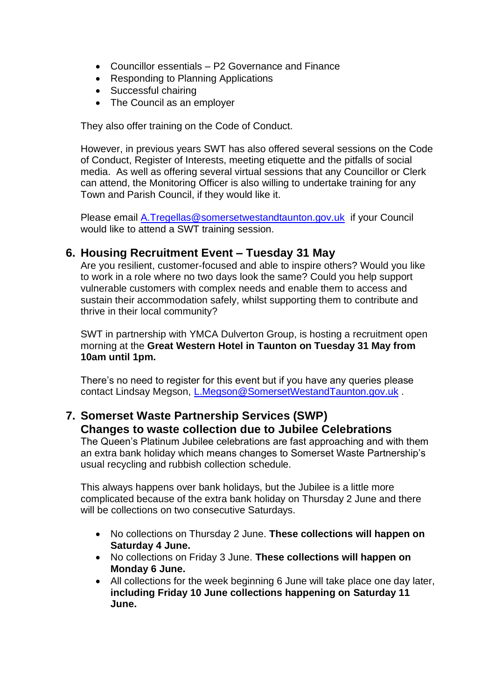- Councillor essentials P2 Governance and Finance
- Responding to Planning Applications
- Successful chairing
- The Council as an employer

They also offer training on the Code of Conduct.

However, in previous years SWT has also offered several sessions on the Code of Conduct, Register of Interests, meeting etiquette and the pitfalls of social media. As well as offering several virtual sessions that any Councillor or Clerk can attend, the Monitoring Officer is also willing to undertake training for any Town and Parish Council, if they would like it.

Please email [A.Tregellas@somersetwestandtaunton.gov.uk](mailto:A.Tregellas@somersetwestandtaunton.gov.uk) if your Council would like to attend a SWT training session.

#### **6. Housing Recruitment Event – Tuesday 31 May**

Are you resilient, customer-focused and able to inspire others? Would you like to work in a role where no two days look the same? Could you help support vulnerable customers with complex needs and enable them to access and sustain their accommodation safely, whilst supporting them to contribute and thrive in their local community?

SWT in partnership with YMCA Dulverton Group, is hosting a recruitment open morning at the **Great Western Hotel in Taunton on Tuesday 31 May from 10am until 1pm.**

There's no need to register for this event but if you have any queries please contact Lindsay Megson, [L.Megson@SomersetWestandTaunton.gov.uk](mailto:L.Megson@SomersetWestandTaunton.gov.uk).

## **7. Somerset Waste Partnership Services (SWP) Changes to waste collection due to Jubilee Celebrations**

The Queen's Platinum Jubilee celebrations are fast approaching and with them an extra bank holiday which means changes to Somerset Waste Partnership's usual recycling and rubbish collection schedule.

This always happens over bank holidays, but the Jubilee is a little more complicated because of the extra bank holiday on Thursday 2 June and there will be collections on two consecutive Saturdays.

- No collections on Thursday 2 June. **These collections will happen on Saturday 4 June.**
- No collections on Friday 3 June. **These collections will happen on Monday 6 June.**
- All collections for the week beginning 6 June will take place one day later, **including Friday 10 June collections happening on Saturday 11 June.**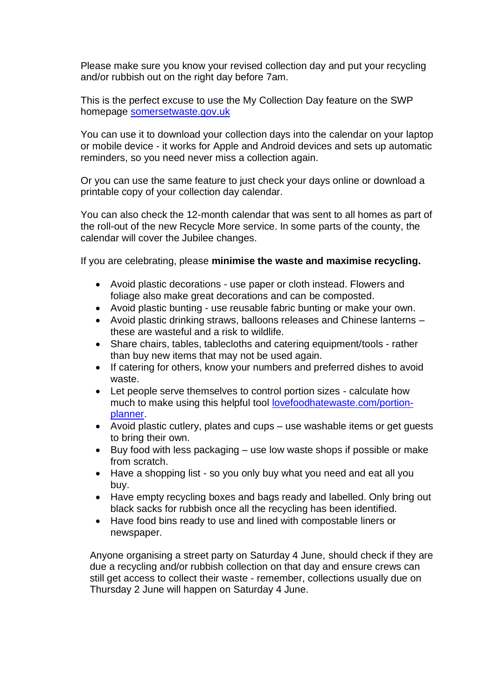Please make sure you know your revised collection day and put your recycling and/or rubbish out on the right day before 7am.

This is the perfect excuse to use the My Collection Day feature on the SWP homepage [somersetwaste.gov.uk](https://www.somersetwaste.gov.uk/)

You can use it to download your collection days into the calendar on your laptop or mobile device - it works for Apple and Android devices and sets up automatic reminders, so you need never miss a collection again.

Or you can use the same feature to just check your days online or download a printable copy of your collection day calendar.

You can also check the 12-month calendar that was sent to all homes as part of the roll-out of the new Recycle More service. In some parts of the county, the calendar will cover the Jubilee changes.

If you are celebrating, please **minimise the waste and maximise recycling.**

- Avoid plastic decorations use paper or cloth instead. Flowers and foliage also make great decorations and can be composted.
- Avoid plastic bunting use reusable fabric bunting or make your own.
- Avoid plastic drinking straws, balloons releases and Chinese lanterns these are wasteful and a risk to wildlife.
- Share chairs, tables, tablecloths and catering equipment/tools rather than buy new items that may not be used again.
- If catering for others, know your numbers and preferred dishes to avoid waste.
- Let people serve themselves to control portion sizes calculate how much to make using this helpful tool [lovefoodhatewaste.com/portion](https://l.facebook.com/l.php?u=http://lovefoodhatewaste.com/portion-planner&h=AT2veCmwUUcQ2t5di7nMSbbOWxNn-0LX9kqjJ-1rKbxlAYHju95k66R-7zufbvt0RxYZjoITgKW6D8QjvwcnledKF3H9vmqjkxqjHoYD3e_lcvd-7a2RanrOQThrMuZKTwp8ptggaKBHoOjCAohZ&__tn__=-UK-R&c%5b0%5d=AT1IKw7rOwbMH_3WQctIATmb0vefK62RLZUxanzvxl0t_dp83DI6fD02zDo3-TXFEkPdmQUkmfdMSFT2Cbd1Dx8XMQt0T2v4-EBc8PK-Rsk7KekCaXXpqNYxlUyoumiY2SRzkUIaWcp5G7bVLgMXy2TvFtBuWPZg4-cucWHb3OsbQXiHKMu8Xx8PCMyZAxOyNOhjrGg)[planner.](https://l.facebook.com/l.php?u=http://lovefoodhatewaste.com/portion-planner&h=AT2veCmwUUcQ2t5di7nMSbbOWxNn-0LX9kqjJ-1rKbxlAYHju95k66R-7zufbvt0RxYZjoITgKW6D8QjvwcnledKF3H9vmqjkxqjHoYD3e_lcvd-7a2RanrOQThrMuZKTwp8ptggaKBHoOjCAohZ&__tn__=-UK-R&c%5b0%5d=AT1IKw7rOwbMH_3WQctIATmb0vefK62RLZUxanzvxl0t_dp83DI6fD02zDo3-TXFEkPdmQUkmfdMSFT2Cbd1Dx8XMQt0T2v4-EBc8PK-Rsk7KekCaXXpqNYxlUyoumiY2SRzkUIaWcp5G7bVLgMXy2TvFtBuWPZg4-cucWHb3OsbQXiHKMu8Xx8PCMyZAxOyNOhjrGg)
- Avoid plastic cutlery, plates and cups use washable items or get guests to bring their own.
- Buy food with less packaging use low waste shops if possible or make from scratch.
- Have a shopping list so you only buy what you need and eat all you buy.
- Have empty recycling boxes and bags ready and labelled. Only bring out black sacks for rubbish once all the recycling has been identified.
- Have food bins ready to use and lined with compostable liners or newspaper.

Anyone organising a street party on Saturday 4 June, should check if they are due a recycling and/or rubbish collection on that day and ensure crews can still get access to collect their waste - remember, collections usually due on Thursday 2 June will happen on Saturday 4 June.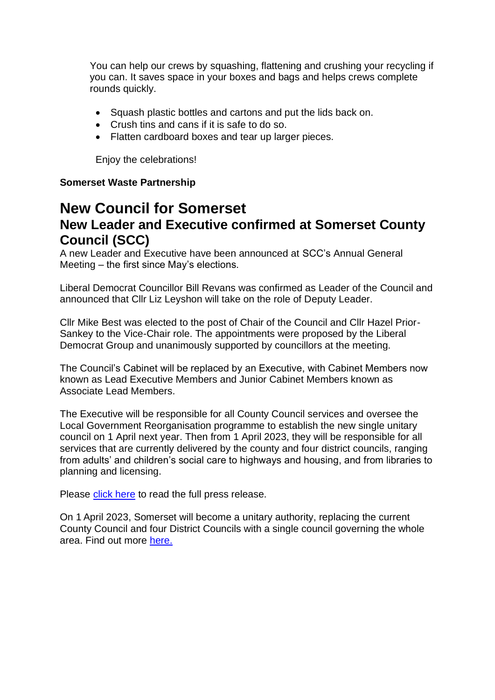You can help our crews by squashing, flattening and crushing your recycling if you can. It saves space in your boxes and bags and helps crews complete rounds quickly.

- Squash plastic bottles and cartons and put the lids back on.
- Crush tins and cans if it is safe to do so.
- Flatten cardboard boxes and tear up larger pieces.

Enjoy the celebrations!

#### **Somerset Waste Partnership**

## **New Council for Somerset New Leader and Executive confirmed at Somerset County Council (SCC)**

A new Leader and Executive have been announced at SCC's Annual General Meeting – the first since May's elections.

Liberal Democrat Councillor Bill Revans was confirmed as Leader of the Council and announced that Cllr Liz Leyshon will take on the role of Deputy Leader.

Cllr Mike Best was elected to the post of Chair of the Council and Cllr Hazel Prior-Sankey to the Vice-Chair role. The appointments were proposed by the Liberal Democrat Group and unanimously supported by councillors at the meeting.

The Council's Cabinet will be replaced by an Executive, with Cabinet Members now known as Lead Executive Members and Junior Cabinet Members known as Associate Lead Members.

The Executive will be responsible for all County Council services and oversee the Local Government Reorganisation programme to establish the new single unitary council on 1 April next year. Then from 1 April 2023, they will be responsible for all services that are currently delivered by the county and four district councils, ranging from adults' and children's social care to highways and housing, and from libraries to planning and licensing.

Please [click here](https://somersetnewsroom.com/2022/05/25/new-leader-and-executive-confirmed-at-somerset-county-council/) to read the full press release.

On 1 April 2023, Somerset will become a unitary authority, replacing the current County Council and four District Councils with a single council governing the whole area. Find out more [here.](https://eur01.safelinks.protection.outlook.com/?url=https%3A%2F%2Fnewsomersetcouncil.org.uk%2Fwp-content%2Fuploads%2F2021%2F02%2FOne-Somerset-Business-Case-Final-Submission-2.pdf&data=04%7C01%7CSXSalter%40somerset.gov.uk%7Cd8cf5ebaf0a941e8adaa08d9a9072437%7Cb524f606f77a4aa28da2fe70343b0cce%7C0%7C0%7C637726670394581008%7CUnknown%7CTWFpbGZsb3d8eyJWIjoiMC4wLjAwMDAiLCJQIjoiV2luMzIiLCJBTiI6Ik1haWwiLCJXVCI6Mn0%3D%7C3000&sdata=6yQq519Cs0ZZfuWI48X7RKkHxdPhCNOgymTIjI%2BXmlI%3D&reserved=0)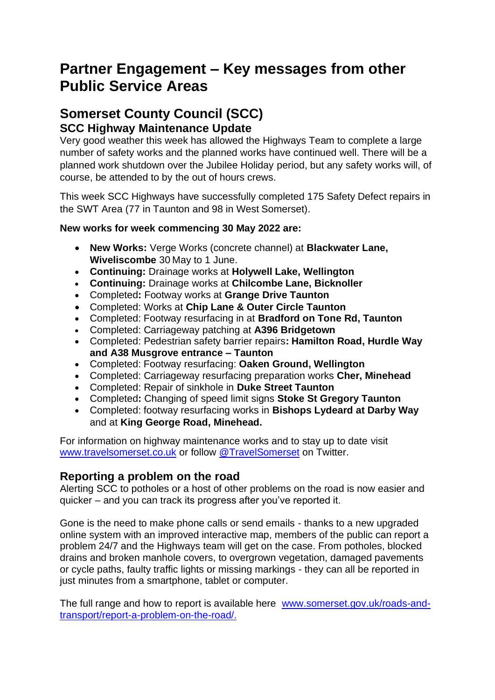## **Partner Engagement – Key messages from other Public Service Areas**

## **Somerset County Council (SCC) SCC Highway Maintenance Update**

Very good weather this week has allowed the Highways Team to complete a large number of safety works and the planned works have continued well. There will be a planned work shutdown over the Jubilee Holiday period, but any safety works will, of course, be attended to by the out of hours crews.

This week SCC Highways have successfully completed 175 Safety Defect repairs in the SWT Area (77 in Taunton and 98 in West Somerset).

#### **New works for week commencing 30 May 2022 are:**

- **New Works:** Verge Works (concrete channel) at **Blackwater Lane, Wiveliscombe** 30 May to 1 June.
- **Continuing:** Drainage works at **Holywell Lake, Wellington**
- **Continuing:** Drainage works at **Chilcombe Lane, Bicknoller**
- Completed**:** Footway works at **Grange Drive Taunton**
- Completed: Works at **Chip Lane & Outer Circle Taunton**
- Completed: Footway resurfacing in at **Bradford on Tone Rd, Taunton**
- Completed: Carriageway patching at **A396 Bridgetown**
- Completed: Pedestrian safety barrier repairs**: Hamilton Road, Hurdle Way and A38 Musgrove entrance – Taunton**
- Completed: Footway resurfacing: **Oaken Ground, Wellington**
- Completed: Carriageway resurfacing preparation works **Cher, Minehead**
- Completed: Repair of sinkhole in **Duke Street Taunton**
- Completed**:** Changing of speed limit signs **Stoke St Gregory Taunton**
- Completed: footway resurfacing works in **Bishops Lydeard at Darby Way** and at **King George Road, Minehead.**

For information on highway maintenance works and to stay up to date visit [www.travelsomerset.co.uk](http://www.travelsomerset.co.uk/) or follow [@TravelSomerset](https://twitter.com/search?q=%40TravelSomerset&src=recent_search_click) on Twitter.

## **Reporting a problem on the road**

Alerting SCC to potholes or a host of other problems on the road is now easier and quicker – and you can track its progress after you've reported it.

Gone is the need to make phone calls or send emails - thanks to a new upgraded online system with an improved interactive map, members of the public can report a problem 24/7 and the Highways team will get on the case. From potholes, blocked drains and broken manhole covers, to overgrown vegetation, damaged pavements or cycle paths, faulty traffic lights or missing markings - they can all be reported in just minutes from a smartphone, tablet or computer.

The full range and how to report is available here [www.somerset.gov.uk/roads-and](http://www.somerset.gov.uk/roads-and-transport/report-a-problem-on-the-road/)[transport/report-a-problem-on-the-road/.](http://www.somerset.gov.uk/roads-and-transport/report-a-problem-on-the-road/)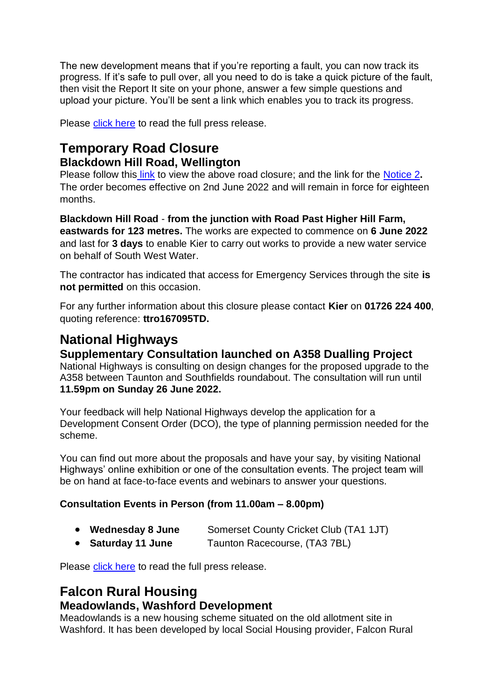The new development means that if you're reporting a fault, you can now track its progress. If it's safe to pull over, all you need to do is take a quick picture of the fault, then visit the Report It site on your phone, answer a few simple questions and upload your picture. You'll be sent a link which enables you to track its progress.

Please [click here](https://somersetnewsroom.com/2021/12/13/reporting-a-problem-on-the-road-is-now-a-hole-lot-easier/) to read the full press release.

## **Temporary Road Closure Blackdown Hill Road, Wellington**

Please follow this [link](https://one.network/?tm=127794472) to view the above road closure; and the link for the [Notice 2](file:///C:/Users/smu/Downloads/03-notice-2_127794472_3438816_faf928cc05%20(1).pdf)**.** The order becomes effective on 2nd June 2022 and will remain in force for eighteen months.

**Blackdown Hill Road** - **from the junction with Road Past Higher Hill Farm, eastwards for 123 metres.** The works are expected to commence on **6 June 2022** and last for **3 days** to enable Kier to carry out works to provide a new water service on behalf of South West Water.

The contractor has indicated that access for Emergency Services through the site **is not permitted** on this occasion.

For any further information about this closure please contact **Kier** on **01726 224 400**, quoting reference: **ttro167095TD.**

## **National Highways**

## **Supplementary Consultation launched on A358 Dualling Project**

National Highways is consulting on design changes for the proposed upgrade to the A358 between Taunton and Southfields roundabout. The consultation will run until **11.59pm on Sunday 26 June 2022.**

Your feedback will help National Highways develop the application for a Development Consent Order (DCO), the type of planning permission needed for the scheme.

You can find out more about the proposals and have your say, by visiting National Highways' online exhibition or one of the consultation events. The project team will be on hand at face-to-face events and webinars to answer your questions.

#### **Consultation Events in Person (from 11.00am – 8.00pm)**

| <b>Wednesday 8 June</b>   | Somerset County Cricket Club (TA1 1JT) |
|---------------------------|----------------------------------------|
| a <b>Catalog</b> dd Loe a |                                        |

• **Saturday 11 June** Taunton Racecourse, (TA3 7BL)

Please [click here](https://nationalhighways.co.uk/our-work/south-west/a358-taunton-to-southfields/) to read the full press release.

## **Falcon Rural Housing Meadowlands, Washford Development**

Meadowlands is a new housing scheme situated on the old allotment site in Washford. It has been developed by local Social Housing provider, Falcon Rural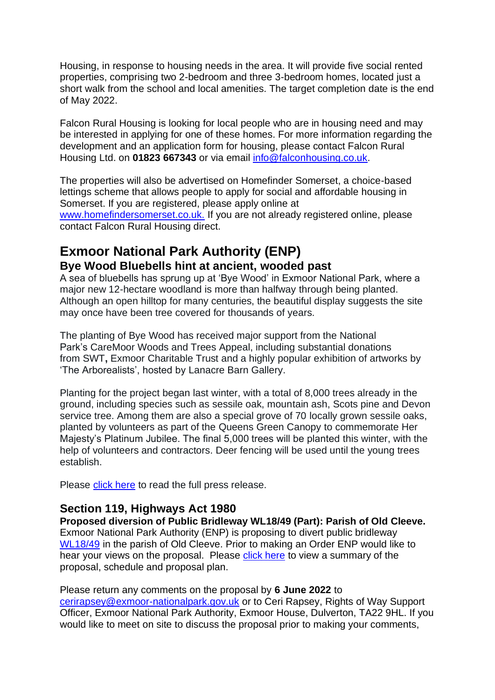Housing, in response to housing needs in the area. It will provide five social rented properties, comprising two 2-bedroom and three 3-bedroom homes, located just a short walk from the school and local amenities. The target completion date is the end of May 2022.

Falcon Rural Housing is looking for local people who are in housing need and may be interested in applying for one of these homes. For more information regarding the development and an application form for housing, please contact Falcon Rural Housing Ltd. on **01823 667343** or via email [info@falconhousing.co.uk.](mailto:info@falconhousing.co.uk)

The properties will also be advertised on Homefinder Somerset, a choice-based lettings scheme that allows people to apply for social and affordable housing in Somerset. If you are registered, please apply online at [www.homefindersomerset.co.uk.](http://www.homefindersomerset.co.uk/?fbclid=IwAR3fc-2U6w31R2WSYWao81JWhMp9Ci-PhwZ12Dg1hpX8ff_3tQKVonPKUOs) If you are not already registered online, please contact Falcon Rural Housing direct.

## **Exmoor National Park Authority (ENP) Bye Wood Bluebells hint at ancient, wooded past**

A sea of bluebells has sprung up at 'Bye Wood' in Exmoor National Park, where a major new 12-hectare woodland is more than halfway through being planted. Although an open hilltop for many centuries, the beautiful display suggests the site may once have been tree covered for thousands of years.

The planting of Bye Wood has received major support from the National Park's CareMoor Woods and Trees Appeal, including substantial donations from SWT**,** Exmoor Charitable Trust and a highly popular exhibition of artworks by 'The Arborealists', hosted by Lanacre Barn Gallery.

Planting for the project began last winter, with a total of 8,000 trees already in the ground, including species such as sessile oak, mountain ash, Scots pine and Devon service tree. Among them are also a special grove of 70 locally grown sessile oaks, planted by volunteers as part of the Queens Green Canopy to commemorate Her Majesty's Platinum Jubilee. The final 5,000 trees will be planted this winter, with the help of volunteers and contractors. Deer fencing will be used until the young trees establish.

Please [click here](https://myemail.constantcontact.com/News-from-Exmoor-National-Park--BYE-WOOD-BLUEBELLS-HINT-AT-ANCIENT-WOODED-PAST.html?soid=1102765974837&aid=zDrEZyLyvp4) to read the full press release.

#### **Section 119, Highways Act 1980**

**Proposed diversion of Public Bridleway WL18/49 (Part): Parish of Old Cleeve.** Exmoor National Park Authority (ENP) is proposing to divert public bridleway [WL18/49](https://www.exmoor-nationalpark.gov.uk/enjoying/out-and-about-essentials/paths-news/changes-to-the-path-network) in the parish of Old Cleeve. Prior to making an Order ENP would like to hear your views on the proposal. Please [click here](https://www.exmoor-nationalpark.gov.uk/__data/assets/pdf_file/0032/428828/Summary,-schedule-and-plan-of-Proposed-Diversion-WL18-49-Naked-Boys-Stone-May-2022.pdf) to view a summary of the proposal, schedule and proposal plan.

Please return any comments on the proposal by **6 June 2022** to [cerirapsey@exmoor-nationalpark.gov.uk](mailto:cerirapsey@exmoor-nationalpark.gov.uk) or to Ceri Rapsey, Rights of Way Support Officer, Exmoor National Park Authority, Exmoor House, Dulverton, TA22 9HL. If you would like to meet on site to discuss the proposal prior to making your comments,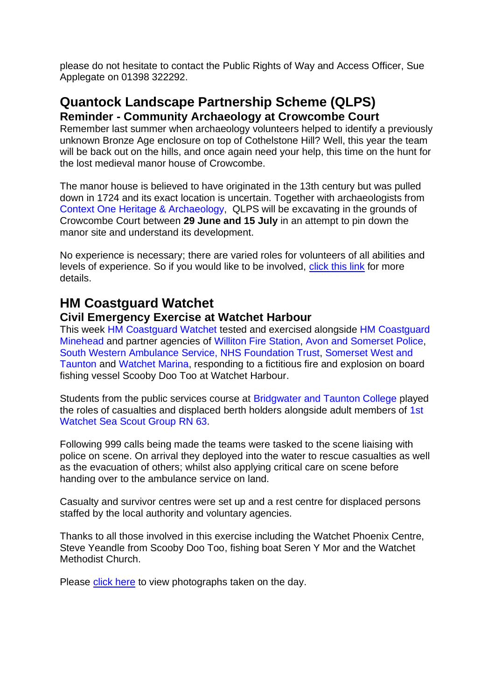please do not hesitate to contact the Public Rights of Way and Access Officer, Sue Applegate on 01398 322292.

## **Quantock Landscape Partnership Scheme (QLPS) Reminder - Community Archaeology at Crowcombe Court**

Remember last summer when archaeology volunteers helped to identify a previously unknown Bronze Age enclosure on top of Cothelstone Hill? Well, this year the team will be back out on the hills, and once again need your help, this time on the hunt for the lost medieval manor house of Crowcombe.

The manor house is believed to have originated in the 13th century but was pulled down in 1724 and its exact location is uncertain. Together with archaeologists from Context One Heritage & [Archaeology,](https://www.facebook.com/contextone/?__cft__%5b0%5d=AZXktRg9UC3oQ-VTQ4KqpNiJ_6uNCB3OIbqFFuMPsmRjcWaD9Vh1aCF40JvJn4b8gNEKIfR-mR8gt3rXszwoBLA5vi6dJmi4nTHIeIc1MOyB4sK071_Wtq-_qhIkRxNhry_IRQgv5zmGg8yoNTkeDqwq&__tn__=kK-R) QLPS will be excavating in the grounds of Crowcombe Court between **29 June and 15 July** in an attempt to pin down the manor site and understand its development.

No experience is necessary; there are varied roles for volunteers of all abilities and levels of experience. So if you would like to be involved, [click](https://qlps.org/community-archaeology-at-crowcombe-court-summer-2022-how-to-get-involved/?fbclid=IwAR2MiNfb_1IvsRzrw8TDlv2YeOldcPhlbp2U_b_jmnZ0wTvCTMRg9BC_9w8) this link for more details.

## **HM Coastguard Watchet**

#### **Civil Emergency Exercise at Watchet Harbour**

This week [HM Coastguard Watchet](https://www.facebook.com/WatchetCoastguard) tested and exercised alongside HM [Coastguard](https://www.facebook.com/HMCoastguardMinehead/?__cft__%5b0%5d=AZURYWGTi8kCYIUB0wF_mpMqv7o-tcILLV9VlbJqdfKgl6OaP05Sw6oYBk1qIsFsRuM8cOv01dn1KCptpjM49c09wzrIcoVhHWUcwie2NO8swNDDlC36KJStjn6_avi-D_iKiYItTTBHaJf4uPoOvgb2zT9UdahZfXnmQYWVFNgB39EprNgAgMY_ALgu6gGzpGg&__tn__=kK-R) [Minehead](https://www.facebook.com/HMCoastguardMinehead/?__cft__%5b0%5d=AZURYWGTi8kCYIUB0wF_mpMqv7o-tcILLV9VlbJqdfKgl6OaP05Sw6oYBk1qIsFsRuM8cOv01dn1KCptpjM49c09wzrIcoVhHWUcwie2NO8swNDDlC36KJStjn6_avi-D_iKiYItTTBHaJf4uPoOvgb2zT9UdahZfXnmQYWVFNgB39EprNgAgMY_ALgu6gGzpGg&__tn__=kK-R) and partner agencies of [Williton](https://www.facebook.com/WillitonFireStation/?__cft__%5b0%5d=AZURYWGTi8kCYIUB0wF_mpMqv7o-tcILLV9VlbJqdfKgl6OaP05Sw6oYBk1qIsFsRuM8cOv01dn1KCptpjM49c09wzrIcoVhHWUcwie2NO8swNDDlC36KJStjn6_avi-D_iKiYItTTBHaJf4uPoOvgb2zT9UdahZfXnmQYWVFNgB39EprNgAgMY_ALgu6gGzpGg&__tn__=kK-R) Fire Station, Avon and [Somerset](https://www.facebook.com/avonandsomersetpolice/?__cft__%5b0%5d=AZURYWGTi8kCYIUB0wF_mpMqv7o-tcILLV9VlbJqdfKgl6OaP05Sw6oYBk1qIsFsRuM8cOv01dn1KCptpjM49c09wzrIcoVhHWUcwie2NO8swNDDlC36KJStjn6_avi-D_iKiYItTTBHaJf4uPoOvgb2zT9UdahZfXnmQYWVFNgB39EprNgAgMY_ALgu6gGzpGg&__tn__=kK-R) Police, South Western Ambulance Service, NHS [Foundation](https://www.facebook.com/swasFT/?__cft__%5b0%5d=AZURYWGTi8kCYIUB0wF_mpMqv7o-tcILLV9VlbJqdfKgl6OaP05Sw6oYBk1qIsFsRuM8cOv01dn1KCptpjM49c09wzrIcoVhHWUcwie2NO8swNDDlC36KJStjn6_avi-D_iKiYItTTBHaJf4uPoOvgb2zT9UdahZfXnmQYWVFNgB39EprNgAgMY_ALgu6gGzpGg&__tn__=kK-R) Trust, [Somerset](https://www.facebook.com/SWTCouncil/?__cft__%5b0%5d=AZURYWGTi8kCYIUB0wF_mpMqv7o-tcILLV9VlbJqdfKgl6OaP05Sw6oYBk1qIsFsRuM8cOv01dn1KCptpjM49c09wzrIcoVhHWUcwie2NO8swNDDlC36KJStjn6_avi-D_iKiYItTTBHaJf4uPoOvgb2zT9UdahZfXnmQYWVFNgB39EprNgAgMY_ALgu6gGzpGg&__tn__=kK-R) West and [Taunton](https://www.facebook.com/SWTCouncil/?__cft__%5b0%5d=AZURYWGTi8kCYIUB0wF_mpMqv7o-tcILLV9VlbJqdfKgl6OaP05Sw6oYBk1qIsFsRuM8cOv01dn1KCptpjM49c09wzrIcoVhHWUcwie2NO8swNDDlC36KJStjn6_avi-D_iKiYItTTBHaJf4uPoOvgb2zT9UdahZfXnmQYWVFNgB39EprNgAgMY_ALgu6gGzpGg&__tn__=kK-R) and [Watchet](https://www.facebook.com/watchetmarina/?__cft__%5b0%5d=AZURYWGTi8kCYIUB0wF_mpMqv7o-tcILLV9VlbJqdfKgl6OaP05Sw6oYBk1qIsFsRuM8cOv01dn1KCptpjM49c09wzrIcoVhHWUcwie2NO8swNDDlC36KJStjn6_avi-D_iKiYItTTBHaJf4uPoOvgb2zT9UdahZfXnmQYWVFNgB39EprNgAgMY_ALgu6gGzpGg&__tn__=kK-R) Marina, responding to a fictitious fire and explosion on board fishing vessel Scooby Doo Too at Watchet Harbour.

Students from the public services course at [Bridgwater](https://www.facebook.com/BridgwaterandTauntonCollege/?__cft__%5b0%5d=AZURYWGTi8kCYIUB0wF_mpMqv7o-tcILLV9VlbJqdfKgl6OaP05Sw6oYBk1qIsFsRuM8cOv01dn1KCptpjM49c09wzrIcoVhHWUcwie2NO8swNDDlC36KJStjn6_avi-D_iKiYItTTBHaJf4uPoOvgb2zT9UdahZfXnmQYWVFNgB39EprNgAgMY_ALgu6gGzpGg&__tn__=kK-R) and Taunton College played the roles of casualties and displaced berth holders alongside adult members of [1st](https://www.facebook.com/Watchetseascouts/?__cft__%5b0%5d=AZURYWGTi8kCYIUB0wF_mpMqv7o-tcILLV9VlbJqdfKgl6OaP05Sw6oYBk1qIsFsRuM8cOv01dn1KCptpjM49c09wzrIcoVhHWUcwie2NO8swNDDlC36KJStjn6_avi-D_iKiYItTTBHaJf4uPoOvgb2zT9UdahZfXnmQYWVFNgB39EprNgAgMY_ALgu6gGzpGg&__tn__=kK-R) [Watchet](https://www.facebook.com/Watchetseascouts/?__cft__%5b0%5d=AZURYWGTi8kCYIUB0wF_mpMqv7o-tcILLV9VlbJqdfKgl6OaP05Sw6oYBk1qIsFsRuM8cOv01dn1KCptpjM49c09wzrIcoVhHWUcwie2NO8swNDDlC36KJStjn6_avi-D_iKiYItTTBHaJf4uPoOvgb2zT9UdahZfXnmQYWVFNgB39EprNgAgMY_ALgu6gGzpGg&__tn__=kK-R) Sea Scout Group RN 63.

Following 999 calls being made the teams were tasked to the scene liaising with police on scene. On arrival they deployed into the water to rescue casualties as well as the evacuation of others; whilst also applying critical care on scene before handing over to the ambulance service on land.

Casualty and survivor centres were set up and a rest centre for displaced persons staffed by the local authority and voluntary agencies.

Thanks to all those involved in this exercise including the Watchet Phoenix Centre, Steve Yeandle from Scooby Doo Too, fishing boat Seren Y Mor and the Watchet Methodist Church.

Please [click here](https://www.facebook.com/photo/?fbid=5462229250454570&set=pcb.4967386146724215) to view photographs taken on the day.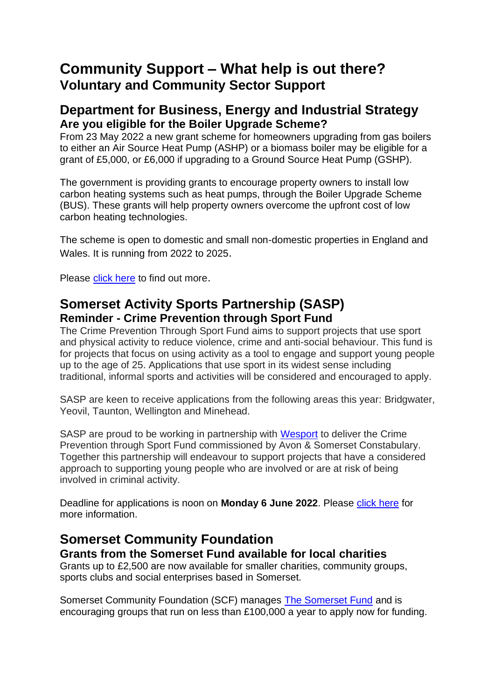## **Community Support – What help is out there? Voluntary and Community Sector Support**

## **Department for Business, Energy and Industrial Strategy Are you eligible for the Boiler Upgrade Scheme?**

From 23 May 2022 a new grant scheme for homeowners upgrading from gas boilers to either an Air Source Heat Pump (ASHP) or a biomass boiler may be eligible for a grant of £5,000, or £6,000 if upgrading to a Ground Source Heat Pump (GSHP).

The government is providing grants to encourage property owners to install low carbon heating systems such as heat pumps, through the Boiler Upgrade Scheme (BUS). These grants will help property owners overcome the upfront cost of low carbon heating technologies.

The scheme is open to domestic and small non-domestic properties in England and Wales. It is running from 2022 to 2025.

Please [click here](https://www.gov.uk/guidance/check-if-you-may-be-eligible-for-the-boiler-upgrade-scheme-from-april-2022?msclkid=d53e6753af6a11ec8609ab845fd2b2ca) to find out more.

## **Somerset Activity Sports Partnership (SASP) Reminder - Crime Prevention through Sport Fund**

The Crime Prevention Through Sport Fund aims to support projects that use sport and physical activity to reduce violence, crime and anti-social behaviour. This fund is for projects that focus on using activity as a tool to engage and support young people up to the age of 25. Applications that use sport in its widest sense including traditional, informal sports and activities will be considered and encouraged to apply.

SASP are keen to receive applications from the following areas this year: Bridgwater, Yeovil, Taunton, Wellington and Minehead.

SASP are proud to be working in partnership with [Wesport](https://www.wesport.org.uk/) to deliver the Crime Prevention through Sport Fund commissioned by Avon & Somerset Constabulary. Together this partnership will endeavour to support projects that have a considered approach to supporting young people who are involved or are at risk of being involved in criminal activity.

Deadline for applications is noon on **Monday 6 June 2022**. Please [click here](https://www.sasp.co.uk/crime-prevention-fund?fbclid=IwAR18QxnAULNENOH5ymOrvSbwKMZzpE5xBj4bi5R-_rfIGVsLuftEJ93-WEk) for more information.

#### **Somerset Community Foundation Grants from the Somerset Fund available for local charities**

Grants up to £2,500 are now available for smaller charities, community groups, sports clubs and social enterprises based in Somerset.

Somerset Community Foundation (SCF) manages [The Somerset Fund](https://somersetcf.org.uk/somersetfund) and is encouraging groups that run on less than £100,000 a year to apply now for funding.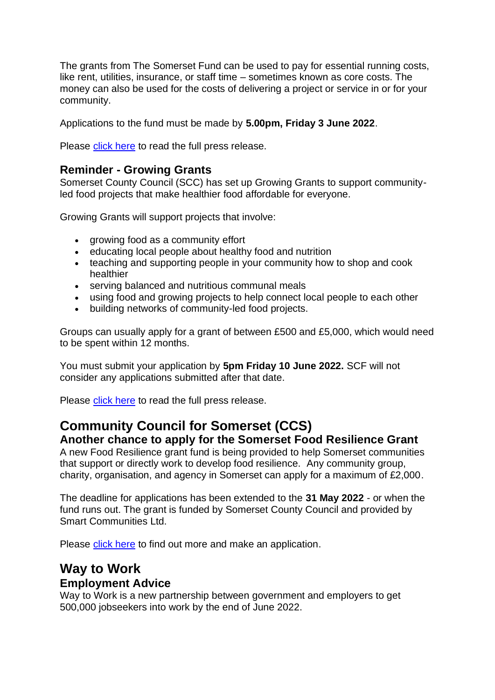The grants from The Somerset Fund can be used to pay for essential running costs, like rent, utilities, insurance, or staff time – sometimes known as core costs. The money can also be used for the costs of delivering a project or service in or for your community.

Applications to the fund must be made by **5.00pm, Friday 3 June 2022**.

Please [click here](https://www.somersetcf.org.uk/news/460/73/Grants-from-The-Somerset-Fund-available-for-local-charities) to read the full press release.

#### **Reminder - Growing Grants**

Somerset County Council (SCC) has set up Growing Grants to support communityled food projects that make healthier food affordable for everyone.

Growing Grants will support projects that involve:

- growing food as a community effort
- educating local people about healthy food and nutrition
- teaching and supporting people in your community how to shop and cook healthier
- serving balanced and nutritious communal meals
- using food and growing projects to help connect local people to each other
- building networks of community-led food projects.

Groups can usually apply for a grant of between £500 and £5,000, which would need to be spent within 12 months.

You must submit your application by **5pm Friday 10 June 2022.** SCF will not consider any applications submitted after that date.

Please [click here](https://somersetcf.org.uk/growing) to read the full press release.

## **Community Council for Somerset (CCS) Another chance to apply for the Somerset Food Resilience Grant**

A new Food Resilience grant fund is being provided to help Somerset communities that support or directly work to develop food resilience. Any community group, charity, organisation, and agency in Somerset can apply for a maximum of £2,000.

The deadline for applications has been extended to the **31 May 2022** - or when the fund runs out. The grant is funded by Somerset County Council and provided by Smart Communities Ltd.

Please [click here](https://smartcommunities.online/new-food-resilience-grant-fund/) to find out more and make an application.

## **Way to Work**

#### **Employment Advice**

Way to Work is a new partnership between government and employers to get 500,000 jobseekers into work by the end of June 2022.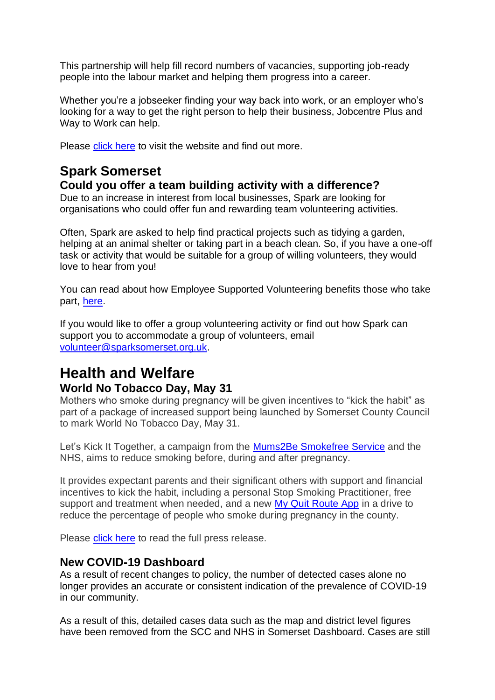This partnership will help fill record numbers of vacancies, supporting job-ready people into the labour market and helping them progress into a career.

Whether you're a jobseeker finding your way back into work, or an employer who's looking for a way to get the right person to help their business, Jobcentre Plus and Way to Work can help.

Please [click here](https://jobhelp.campaign.gov.uk/way-to-work/) to visit the website and find out more.

## **Spark Somerset**

## **Could you offer a team building activity with a difference?**

Due to an increase in interest from local businesses, Spark are looking for organisations who could offer fun and rewarding team volunteering activities.

Often, Spark are asked to help find practical projects such as tidying a garden, helping at an animal shelter or taking part in a beach clean. So, if you have a one-off task or activity that would be suitable for a group of willing volunteers, they would love to hear from you!

You can read about how Employee Supported Volunteering benefits those who take part, [here.](https://sparksomerset.us11.list-manage.com/track/click?u=bcc8d1f67695b144b4ffbe122&id=a274415335&e=4aa6243a6d)

If you would like to offer a group volunteering activity or find out how Spark can support you to accommodate a group of volunteers, email [volunteer@sparksomerset.org.uk.](mailto:volunteer@sparksomerset.org.uk)

## **Health and Welfare World No Tobacco Day, May 31**

Mothers who smoke during pregnancy will be given incentives to "kick the habit" as part of a package of increased support being launched by Somerset County Council to mark World No Tobacco Day, May 31.

Let's Kick It Together, a campaign from the [Mums2Be Smokefree Service](https://bit.ly/Mums2Be) and the NHS, aims to reduce smoking before, during and after pregnancy.

It provides expectant parents and their significant others with support and financial incentives to kick the habit, including a personal Stop Smoking Practitioner, free support and treatment when needed, and a new [My Quit Route App](http://www.myquitroute.com/) in a drive to reduce the percentage of people who smoke during pregnancy in the county.

Please [click here](https://somersetnewsroom.com/2022/05/24/lets-kick-it-together-family-support-to-quit-smoking-in-pregnancy/?fbclid=IwAR3VN4VT6e6eTtbQgx3SNNJmkgcxvcw5Dyn8DGx1EJsXm_P3onYhQT_XaWg) to read the full press release.

## **New COVID-19 Dashboard**

As a result of recent changes to policy, the number of detected cases alone no longer provides an accurate or consistent indication of the prevalence of COVID-19 in our community.

As a result of this, detailed cases data such as the map and district level figures have been removed from the SCC and NHS in Somerset Dashboard. Cases are still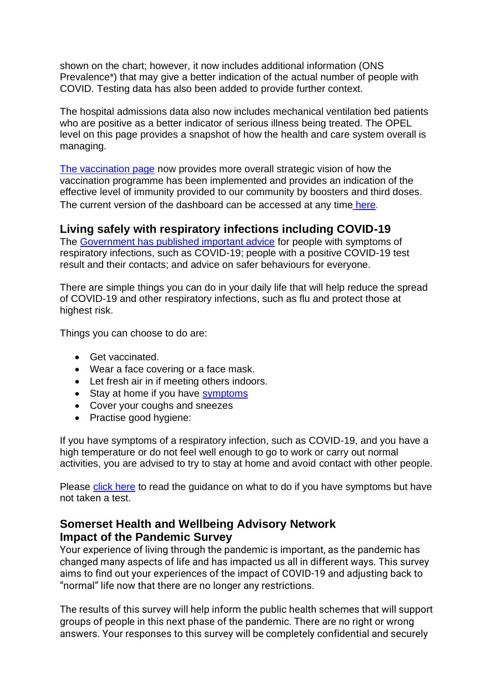shown on the chart; however, it now includes additional information (ONS Prevalence\*) that may give a better indication of the actual number of people with COVID. Testing data has also been added to provide further context.

The hospital admissions data also now includes mechanical ventilation bed patients who are positive as a better indicator of serious illness being treated. The OPEL level on this page provides a snapshot of how the health and care system overall is managing.

[The vaccination page](https://www.somerset.gov.uk/coronavirus/coronavirus-vaccinations/) now provides more overall strategic vision of how the vaccination programme has been implemented and provides an indication of the effective level of immunity provided to our community by boosters and third doses. The current version of the dashboard can be accessed at any time [here](https://www.somerset.gov.uk/covid-19-dashboard/).

## **Living safely with respiratory infections including COVID-19**

The [Government has published important advice](https://newsletters.onyx-sites.io/?mailpoet_router&endpoint=track&action=click&data=WyI2NjM2IiwidHRzeGVycTFtamtrY29nMGtvOGcwZ2trODRvZ2t3YzAiLCIxNDE5IiwiMTA5MGQ5NzhlMTg5IixmYWxzZV0) for people with symptoms of respiratory infections, such as COVID-19; people with a positive COVID-19 test result and their contacts; and advice on safer behaviours for everyone.

There are simple things you can do in your daily life that will help reduce the spread of COVID-19 and other respiratory infections, such as flu and protect those at highest risk.

Things you can choose to do are:

- Get vaccinated.
- Wear a face covering or a face mask.
- Let fresh air in if meeting others indoors.
- Stay at home if you have [symptoms](https://newsletters.onyx-sites.io/?mailpoet_router&endpoint=track&action=click&data=WyI1MjEiLCIxbWRhbWxvZnRhbjRnb2d3ODRrZ2s0azhzOHdzd3c0YyIsIjE0MTciLCI3MDMyNWYxYzNmODEiLGZhbHNlXQ)
- Cover your coughs and sneezes
- Practise good hygiene:

If you have symptoms of a respiratory infection, such as COVID-19, and you have a high temperature or do not feel well enough to go to work or carry out normal activities, you are advised to try to stay at home and avoid contact with other people.

Please [click here](https://www.gov.uk/guidance/people-with-symptoms-of-a-respiratory-infection-including-covid-19#what-to-do-if-you-have-symptoms-of-a-respiratory-infection-including-covid-19-and-have-not-taken-a-covid-19-test) to read the guidance on what to do if you have symptoms but have not taken a test.

#### **Somerset Health and Wellbeing Advisory Network Impact of the Pandemic Survey**

Your experience of living through the pandemic is important, as the pandemic has changed many aspects of life and has impacted us all in different ways. This survey aims to find out your experiences of the impact of COVID-19 and adjusting back to "normal" life now that there are no longer any restrictions.

The results of this survey will help inform the public health schemes that will support groups of people in this next phase of the pandemic. There are no right or wrong answers. Your responses to this survey will be completely confidential and securely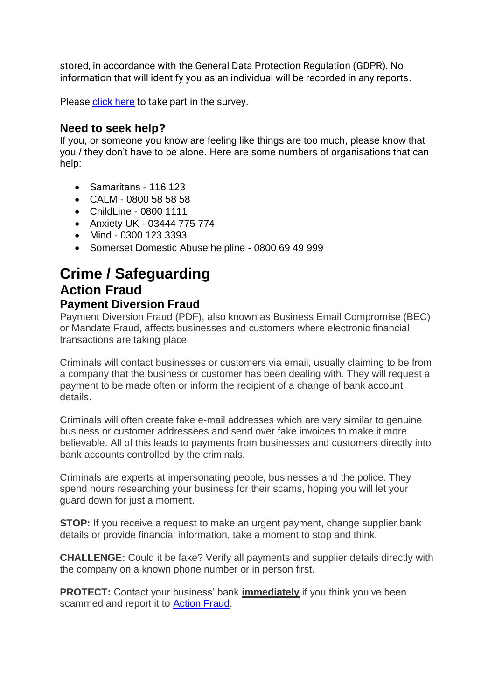stored, in accordance with the General Data Protection Regulation (GDPR). No information that will identify you as an individual will be recorded in any reports.

Please *click here* to take part in the survey.

## **Need to seek help?**

If you, or someone you know are feeling like things are too much, please know that you / they don't have to be alone. Here are some numbers of organisations that can help:

- Samaritans 116 123
- CALM 0800 58 58 58
- ChildLine 0800 1111
- Anxiety UK 03444 775 774
- Mind 0300 123 3393
- Somerset Domestic Abuse helpline 0800 69 49 999

## **Crime / Safeguarding Action Fraud Payment Diversion Fraud**

Payment Diversion Fraud (PDF), also known as Business Email Compromise (BEC) or Mandate Fraud, affects businesses and customers where electronic financial transactions are taking place.

Criminals will contact businesses or customers via email, usually claiming to be from a company that the business or customer has been dealing with. They will request a payment to be made often or inform the recipient of a change of bank account details.

Criminals will often create fake e-mail addresses which are very similar to genuine business or customer addressees and send over fake invoices to make it more believable. All of this leads to payments from businesses and customers directly into bank accounts controlled by the criminals.

Criminals are experts at impersonating people, businesses and the police. They spend hours researching your business for their scams, hoping you will let your guard down for just a moment.

**STOP:** If you receive a request to make an urgent payment, change supplier bank details or provide financial information, take a moment to stop and think.

**CHALLENGE:** Could it be fake? Verify all payments and supplier details directly with the company on a known phone number or in person first.

**PROTECT:** Contact your business' bank **immediately** if you think you've been scammed and report it to **Action Fraud.**